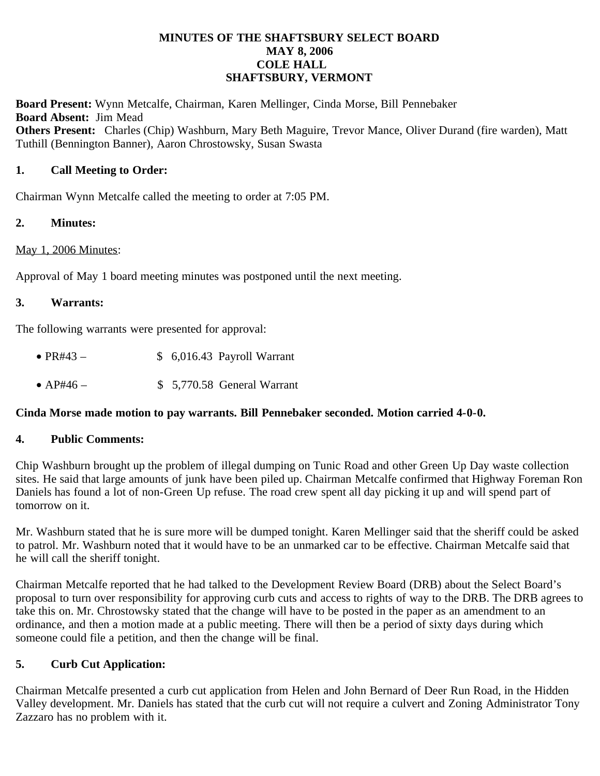### **MINUTES OF THE SHAFTSBURY SELECT BOARD MAY 8, 2006 COLE HALL SHAFTSBURY, VERMONT**

**Board Present:** Wynn Metcalfe, Chairman, Karen Mellinger, Cinda Morse, Bill Pennebaker **Board Absent:** Jim Mead **Others Present:** Charles (Chip) Washburn, Mary Beth Maguire, Trevor Mance, Oliver Durand (fire warden), Matt Tuthill (Bennington Banner), Aaron Chrostowsky, Susan Swasta

## **1. Call Meeting to Order:**

Chairman Wynn Metcalfe called the meeting to order at 7:05 PM.

### **2. Minutes:**

### May 1, 2006 Minutes:

Approval of May 1 board meeting minutes was postponed until the next meeting.

### **3. Warrants:**

The following warrants were presented for approval:

- PR#43  $$ 6,016.43$  Payroll Warrant
- AP#46 \$ 5,770.58 General Warrant

### **Cinda Morse made motion to pay warrants. Bill Pennebaker seconded. Motion carried 4-0-0.**

### **4. Public Comments:**

Chip Washburn brought up the problem of illegal dumping on Tunic Road and other Green Up Day waste collection sites. He said that large amounts of junk have been piled up. Chairman Metcalfe confirmed that Highway Foreman Ron Daniels has found a lot of non-Green Up refuse. The road crew spent all day picking it up and will spend part of tomorrow on it.

Mr. Washburn stated that he is sure more will be dumped tonight. Karen Mellinger said that the sheriff could be asked to patrol. Mr. Washburn noted that it would have to be an unmarked car to be effective. Chairman Metcalfe said that he will call the sheriff tonight.

Chairman Metcalfe reported that he had talked to the Development Review Board (DRB) about the Select Board's proposal to turn over responsibility for approving curb cuts and access to rights of way to the DRB. The DRB agrees to take this on. Mr. Chrostowsky stated that the change will have to be posted in the paper as an amendment to an ordinance, and then a motion made at a public meeting. There will then be a period of sixty days during which someone could file a petition, and then the change will be final.

## **5. Curb Cut Application:**

Chairman Metcalfe presented a curb cut application from Helen and John Bernard of Deer Run Road, in the Hidden Valley development. Mr. Daniels has stated that the curb cut will not require a culvert and Zoning Administrator Tony Zazzaro has no problem with it.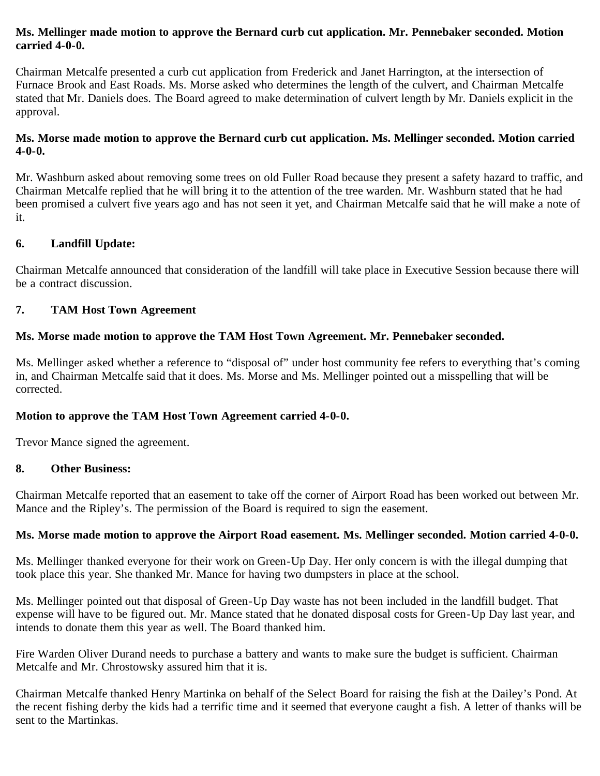## **Ms. Mellinger made motion to approve the Bernard curb cut application. Mr. Pennebaker seconded. Motion carried 4-0-0.**

Chairman Metcalfe presented a curb cut application from Frederick and Janet Harrington, at the intersection of Furnace Brook and East Roads. Ms. Morse asked who determines the length of the culvert, and Chairman Metcalfe stated that Mr. Daniels does. The Board agreed to make determination of culvert length by Mr. Daniels explicit in the approval.

## **Ms. Morse made motion to approve the Bernard curb cut application. Ms. Mellinger seconded. Motion carried 4-0-0.**

Mr. Washburn asked about removing some trees on old Fuller Road because they present a safety hazard to traffic, and Chairman Metcalfe replied that he will bring it to the attention of the tree warden. Mr. Washburn stated that he had been promised a culvert five years ago and has not seen it yet, and Chairman Metcalfe said that he will make a note of it.

## **6. Landfill Update:**

Chairman Metcalfe announced that consideration of the landfill will take place in Executive Session because there will be a contract discussion.

# **7. TAM Host Town Agreement**

## **Ms. Morse made motion to approve the TAM Host Town Agreement. Mr. Pennebaker seconded.**

Ms. Mellinger asked whether a reference to "disposal of" under host community fee refers to everything that's coming in, and Chairman Metcalfe said that it does. Ms. Morse and Ms. Mellinger pointed out a misspelling that will be corrected.

# **Motion to approve the TAM Host Town Agreement carried 4-0-0.**

Trevor Mance signed the agreement.

## **8. Other Business:**

Chairman Metcalfe reported that an easement to take off the corner of Airport Road has been worked out between Mr. Mance and the Ripley's. The permission of the Board is required to sign the easement.

## **Ms. Morse made motion to approve the Airport Road easement. Ms. Mellinger seconded. Motion carried 4-0-0.**

Ms. Mellinger thanked everyone for their work on Green-Up Day. Her only concern is with the illegal dumping that took place this year. She thanked Mr. Mance for having two dumpsters in place at the school.

Ms. Mellinger pointed out that disposal of Green-Up Day waste has not been included in the landfill budget. That expense will have to be figured out. Mr. Mance stated that he donated disposal costs for Green-Up Day last year, and intends to donate them this year as well. The Board thanked him.

Fire Warden Oliver Durand needs to purchase a battery and wants to make sure the budget is sufficient. Chairman Metcalfe and Mr. Chrostowsky assured him that it is.

Chairman Metcalfe thanked Henry Martinka on behalf of the Select Board for raising the fish at the Dailey's Pond. At the recent fishing derby the kids had a terrific time and it seemed that everyone caught a fish. A letter of thanks will be sent to the Martinkas.